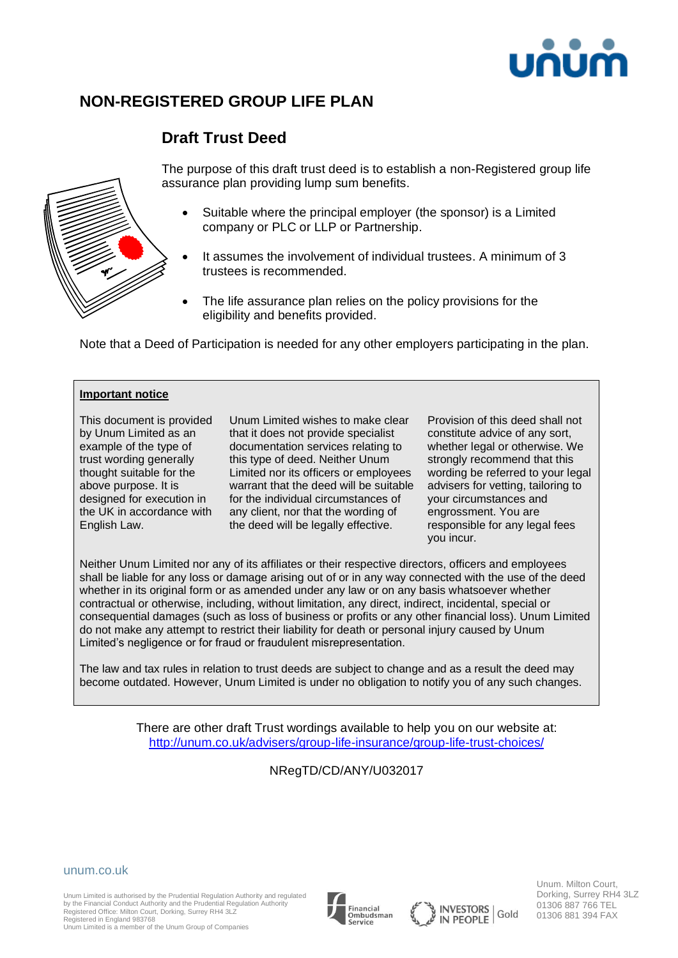

# **NON-REGISTERED GROUP LIFE PLAN**

# **Draft Trust Deed**



The purpose of this draft trust deed is to establish a non-Registered group life assurance plan providing lump sum benefits.

- Suitable where the principal employer (the sponsor) is a Limited company or PLC or LLP or Partnership.
- It assumes the involvement of individual trustees. A minimum of 3 trustees is recommended.
- The life assurance plan relies on the policy provisions for the eligibility and benefits provided.

Note that a Deed of Participation is needed for any other employers participating in the plan.

#### **Important notice**

This document is provided by Unum Limited as an example of the type of trust wording generally thought suitable for the above purpose. It is designed for execution in the UK in accordance with English Law.

Unum Limited wishes to make clear that it does not provide specialist documentation services relating to this type of deed. Neither Unum Limited nor its officers or employees warrant that the deed will be suitable for the individual circumstances of any client, nor that the wording of the deed will be legally effective.

Provision of this deed shall not constitute advice of any sort, whether legal or otherwise. We strongly recommend that this wording be referred to your legal advisers for vetting, tailoring to your circumstances and engrossment. You are responsible for any legal fees you incur.

Neither Unum Limited nor any of its affiliates or their respective directors, officers and employees shall be liable for any loss or damage arising out of or in any way connected with the use of the deed whether in its original form or as amended under any law or on any basis whatsoever whether contractual or otherwise, including, without limitation, any direct, indirect, incidental, special or consequential damages (such as loss of business or profits or any other financial loss). Unum Limited do not make any attempt to restrict their liability for death or personal injury caused by Unum Limited's negligence or for fraud or fraudulent misrepresentation.

The law and tax rules in relation to trust deeds are subject to change and as a result the deed may become outdated. However, Unum Limited is under no obligation to notify you of any such changes.

> There are other draft Trust wordings available to help you on our website at: <http://unum.co.uk/advisers/group-life-insurance/group-life-trust-choices/>

### NRegTD/CD/ANY/U032017



Unum Limited is authorised by the Prudential Regulation Authority and regulated by the Financial Conduct Authority and the Prudential Regulation Authority Registered Office: Milton Court, Dorking, Surrey RH4 3LZ Registered in England 983768

Unum Limited is a member of the Unum Group of Companies





Unum. Milton Court, Dorking, Surrey RH4 3LZ 01306 887 766 TEL 01306 881 394 FAX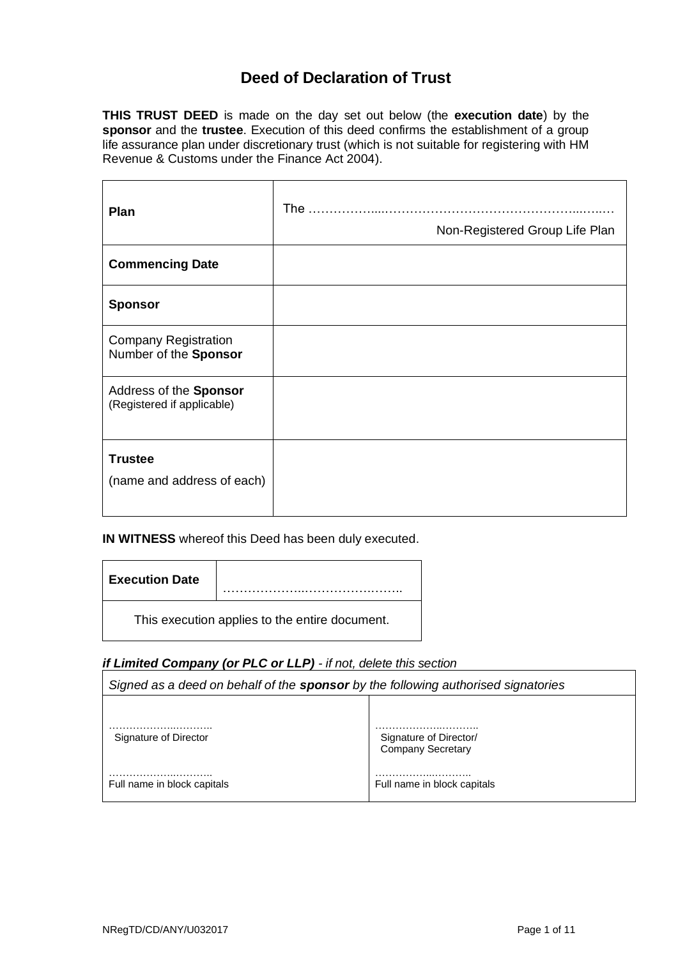# **Deed of Declaration of Trust**

**THIS TRUST DEED** is made on the day set out below (the **execution date**) by the **sponsor** and the **trustee**. Execution of this deed confirms the establishment of a group life assurance plan under discretionary trust (which is not suitable for registering with HM Revenue & Customs under the Finance Act 2004).

| Plan                                                 | Non-Registered Group Life Plan |
|------------------------------------------------------|--------------------------------|
| <b>Commencing Date</b>                               |                                |
| <b>Sponsor</b>                                       |                                |
| <b>Company Registration</b><br>Number of the Sponsor |                                |
| Address of the Sponsor<br>(Registered if applicable) |                                |
| <b>Trustee</b><br>(name and address of each)         |                                |

**IN WITNESS** whereof this Deed has been duly executed.

| <b>Execution Date</b>                          |  |
|------------------------------------------------|--|
| This execution applies to the entire document. |  |

### *if Limited Company (or PLC or LLP) - if not, delete this section*

| Signed as a deed on behalf of the <b>sponsor</b> by the following authorised signatories |                                                    |  |
|------------------------------------------------------------------------------------------|----------------------------------------------------|--|
|                                                                                          |                                                    |  |
| Signature of Director                                                                    | Signature of Director/<br><b>Company Secretary</b> |  |
| Full name in block capitals                                                              | Full name in block capitals                        |  |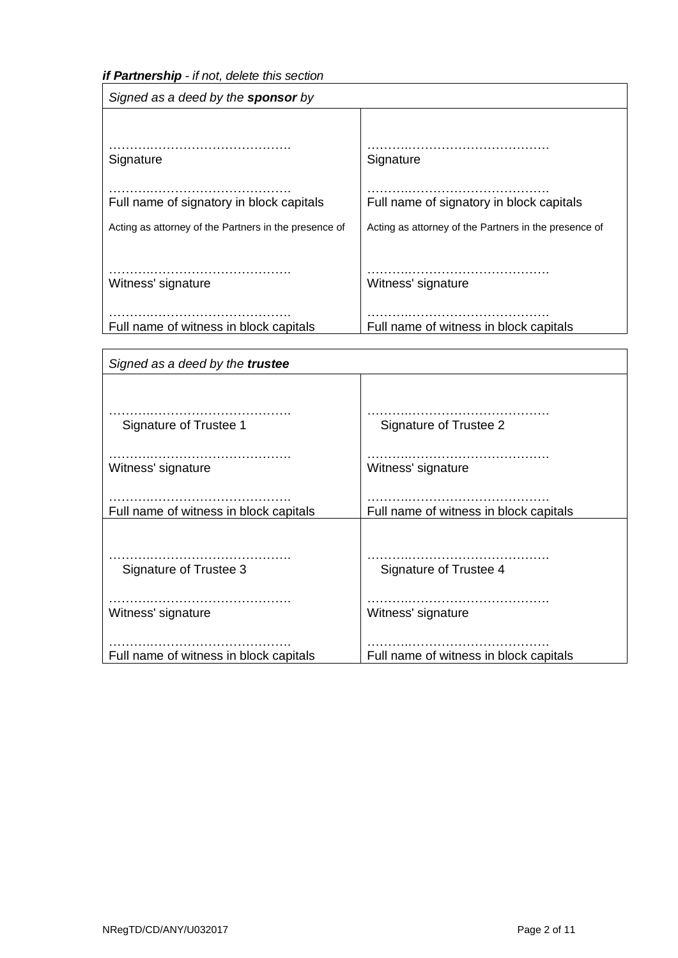*if Partnership - if not, delete this section*

| Signed as a deed by the <b>sponsor</b> by             |                                                       |  |
|-------------------------------------------------------|-------------------------------------------------------|--|
|                                                       |                                                       |  |
| Signature                                             | Signature                                             |  |
| Full name of signatory in block capitals              | Full name of signatory in block capitals              |  |
| Acting as attorney of the Partners in the presence of | Acting as attorney of the Partners in the presence of |  |
|                                                       |                                                       |  |
| Witness' signature                                    | Witness' signature                                    |  |
|                                                       |                                                       |  |
| Full name of witness in block capitals                | Full name of witness in block capitals                |  |

| Signed as a deed by the trustee        |                                        |
|----------------------------------------|----------------------------------------|
|                                        |                                        |
|                                        |                                        |
| Signature of Trustee 1                 | Signature of Trustee 2                 |
|                                        |                                        |
| Witness' signature                     | Witness' signature                     |
|                                        |                                        |
|                                        |                                        |
| Full name of witness in block capitals | Full name of witness in block capitals |
|                                        |                                        |
|                                        |                                        |
| Signature of Trustee 3                 | Signature of Trustee 4                 |
|                                        |                                        |
| Witness' signature                     | Witness' signature                     |
|                                        |                                        |
|                                        |                                        |
| Full name of witness in block capitals | Full name of witness in block capitals |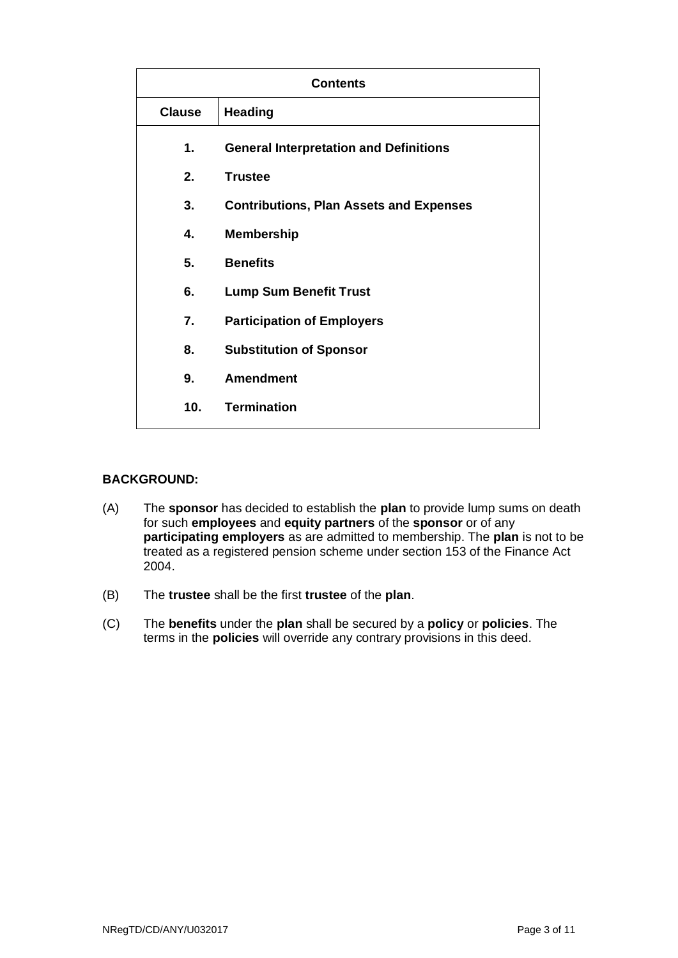| <b>Contents</b> |                                                |
|-----------------|------------------------------------------------|
| <b>Clause</b>   | <b>Heading</b>                                 |
| 1.              | <b>General Interpretation and Definitions</b>  |
| 2.              | <b>Trustee</b>                                 |
| 3.              | <b>Contributions, Plan Assets and Expenses</b> |
| 4.              | <b>Membership</b>                              |
| 5.              | <b>Benefits</b>                                |
| 6.              | <b>Lump Sum Benefit Trust</b>                  |
| 7.              | <b>Participation of Employers</b>              |
| 8.              | <b>Substitution of Sponsor</b>                 |
| 9.              | <b>Amendment</b>                               |
| 10 <sub>1</sub> | <b>Termination</b>                             |

#### **BACKGROUND:**

- (A) The **sponsor** has decided to establish the **plan** to provide lump sums on death for such **employees** and **equity partners** of the **sponsor** or of any **participating employers** as are admitted to membership. The **plan** is not to be treated as a registered pension scheme under section 153 of the Finance Act 2004.
- (B) The **trustee** shall be the first **trustee** of the **plan**.
- (C) The **benefits** under the **plan** shall be secured by a **policy** or **policies**. The terms in the **policies** will override any contrary provisions in this deed.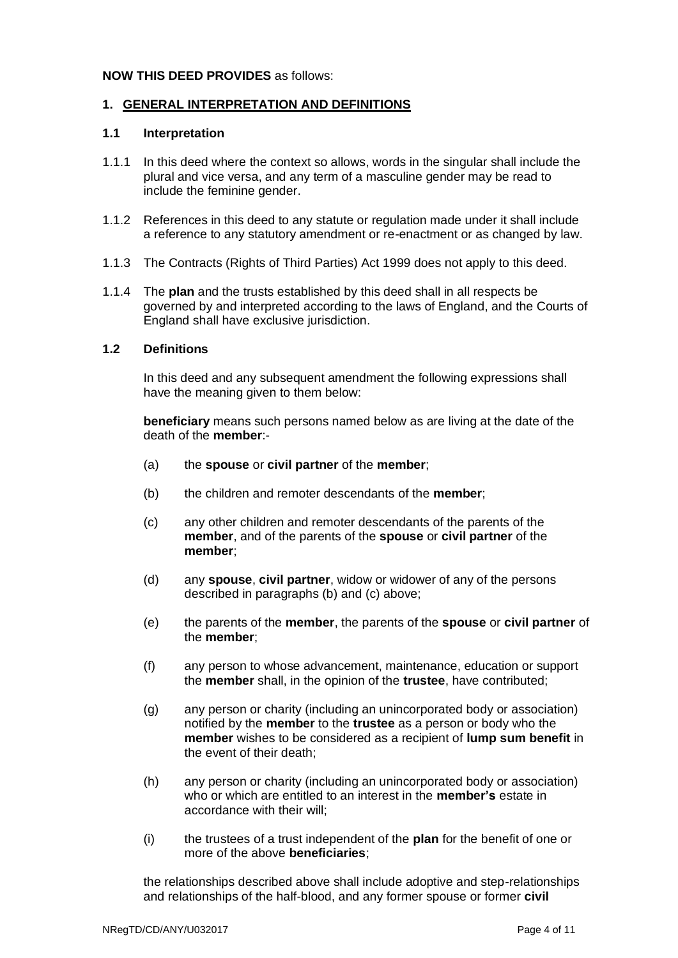#### **NOW THIS DEED PROVIDES** as follows:

#### **1. GENERAL INTERPRETATION AND DEFINITIONS**

#### **1.1 Interpretation**

- 1.1.1 In this deed where the context so allows, words in the singular shall include the plural and vice versa, and any term of a masculine gender may be read to include the feminine gender.
- 1.1.2 References in this deed to any statute or regulation made under it shall include a reference to any statutory amendment or re-enactment or as changed by law.
- 1.1.3 The Contracts (Rights of Third Parties) Act 1999 does not apply to this deed.
- 1.1.4 The **plan** and the trusts established by this deed shall in all respects be governed by and interpreted according to the laws of England, and the Courts of England shall have exclusive jurisdiction.

#### **1.2 Definitions**

In this deed and any subsequent amendment the following expressions shall have the meaning given to them below:

**beneficiary** means such persons named below as are living at the date of the death of the **member**:-

- (a) the **spouse** or **civil partner** of the **member**;
- (b) the children and remoter descendants of the **member**;
- (c) any other children and remoter descendants of the parents of the **member**, and of the parents of the **spouse** or **civil partner** of the **member**;
- (d) any **spouse**, **civil partner**, widow or widower of any of the persons described in paragraphs (b) and (c) above;
- (e) the parents of the **member**, the parents of the **spouse** or **civil partner** of the **member**;
- (f) any person to whose advancement, maintenance, education or support the **member** shall, in the opinion of the **trustee**, have contributed;
- (g) any person or charity (including an unincorporated body or association) notified by the **member** to the **trustee** as a person or body who the **member** wishes to be considered as a recipient of **lump sum benefit** in the event of their death;
- (h) any person or charity (including an unincorporated body or association) who or which are entitled to an interest in the **member's** estate in accordance with their will;
- (i) the trustees of a trust independent of the **plan** for the benefit of one or more of the above **beneficiaries**;

the relationships described above shall include adoptive and step-relationships and relationships of the half-blood, and any former spouse or former **civil**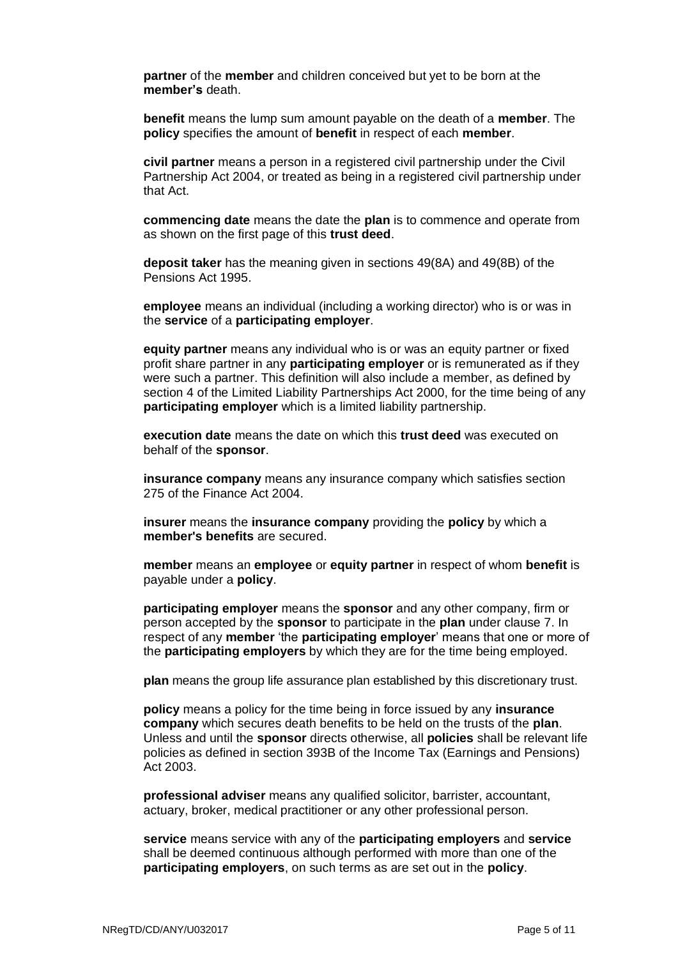**partner** of the **member** and children conceived but yet to be born at the **member's** death.

**benefit** means the lump sum amount payable on the death of a **member**. The **policy** specifies the amount of **benefit** in respect of each **member**.

**civil partner** means a person in a registered civil partnership under the Civil Partnership Act 2004, or treated as being in a registered civil partnership under that Act.

**commencing date** means the date the **plan** is to commence and operate from as shown on the first page of this **trust deed**.

**deposit taker** has the meaning given in sections 49(8A) and 49(8B) of the Pensions Act 1995.

**employee** means an individual (including a working director) who is or was in the **service** of a **participating employer**.

**equity partner** means any individual who is or was an equity partner or fixed profit share partner in any **participating employer** or is remunerated as if they were such a partner. This definition will also include a member, as defined by section 4 of the Limited Liability Partnerships Act 2000, for the time being of any **participating employer** which is a limited liability partnership.

**execution date** means the date on which this **trust deed** was executed on behalf of the **sponsor**.

**insurance company** means any insurance company which satisfies section 275 of the Finance Act 2004.

**insurer** means the **insurance company** providing the **policy** by which a **member's benefits** are secured.

**member** means an **employee** or **equity partner** in respect of whom **benefit** is payable under a **policy**.

**participating employer** means the **sponsor** and any other company, firm or person accepted by the **sponsor** to participate in the **plan** under clause 7. In respect of any **member** 'the **participating employer**' means that one or more of the **participating employers** by which they are for the time being employed.

**plan** means the group life assurance plan established by this discretionary trust.

**policy** means a policy for the time being in force issued by any **insurance company** which secures death benefits to be held on the trusts of the **plan**. Unless and until the **sponsor** directs otherwise, all **policies** shall be relevant life policies as defined in section 393B of the Income Tax (Earnings and Pensions) Act 2003.

**professional adviser** means any qualified solicitor, barrister, accountant, actuary, broker, medical practitioner or any other professional person.

**service** means service with any of the **participating employers** and **service** shall be deemed continuous although performed with more than one of the **participating employers**, on such terms as are set out in the **policy**.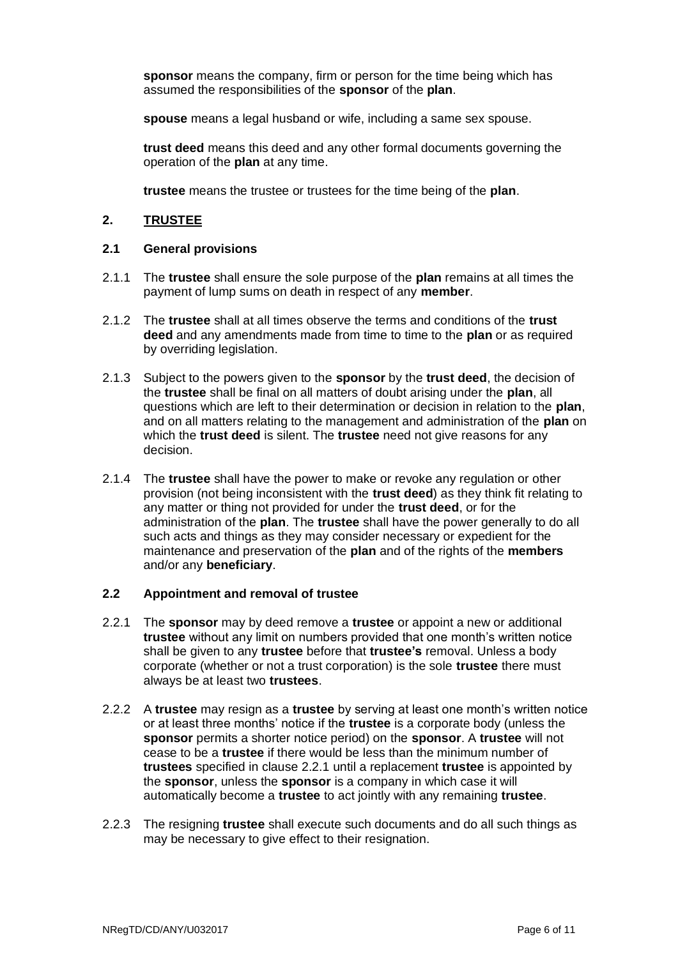**sponsor** means the company, firm or person for the time being which has assumed the responsibilities of the **sponsor** of the **plan**.

**spouse** means a legal husband or wife, including a same sex spouse.

**trust deed** means this deed and any other formal documents governing the operation of the **plan** at any time.

**trustee** means the trustee or trustees for the time being of the **plan**.

#### **2. TRUSTEE**

#### **2.1 General provisions**

- 2.1.1 The **trustee** shall ensure the sole purpose of the **plan** remains at all times the payment of lump sums on death in respect of any **member**.
- 2.1.2 The **trustee** shall at all times observe the terms and conditions of the **trust deed** and any amendments made from time to time to the **plan** or as required by overriding legislation.
- 2.1.3 Subject to the powers given to the **sponsor** by the **trust deed**, the decision of the **trustee** shall be final on all matters of doubt arising under the **plan**, all questions which are left to their determination or decision in relation to the **plan**, and on all matters relating to the management and administration of the **plan** on which the **trust deed** is silent. The **trustee** need not give reasons for any decision.
- 2.1.4 The **trustee** shall have the power to make or revoke any regulation or other provision (not being inconsistent with the **trust deed**) as they think fit relating to any matter or thing not provided for under the **trust deed**, or for the administration of the **plan**. The **trustee** shall have the power generally to do all such acts and things as they may consider necessary or expedient for the maintenance and preservation of the **plan** and of the rights of the **members** and/or any **beneficiary**.

#### **2.2 Appointment and removal of trustee**

- 2.2.1 The **sponsor** may by deed remove a **trustee** or appoint a new or additional **trustee** without any limit on numbers provided that one month's written notice shall be given to any **trustee** before that **trustee's** removal. Unless a body corporate (whether or not a trust corporation) is the sole **trustee** there must always be at least two **trustees**.
- 2.2.2 A **trustee** may resign as a **trustee** by serving at least one month's written notice or at least three months' notice if the **trustee** is a corporate body (unless the **sponsor** permits a shorter notice period) on the **sponsor**. A **trustee** will not cease to be a **trustee** if there would be less than the minimum number of **trustees** specified in clause 2.2.1 until a replacement **trustee** is appointed by the **sponsor**, unless the **sponsor** is a company in which case it will automatically become a **trustee** to act jointly with any remaining **trustee**.
- 2.2.3 The resigning **trustee** shall execute such documents and do all such things as may be necessary to give effect to their resignation.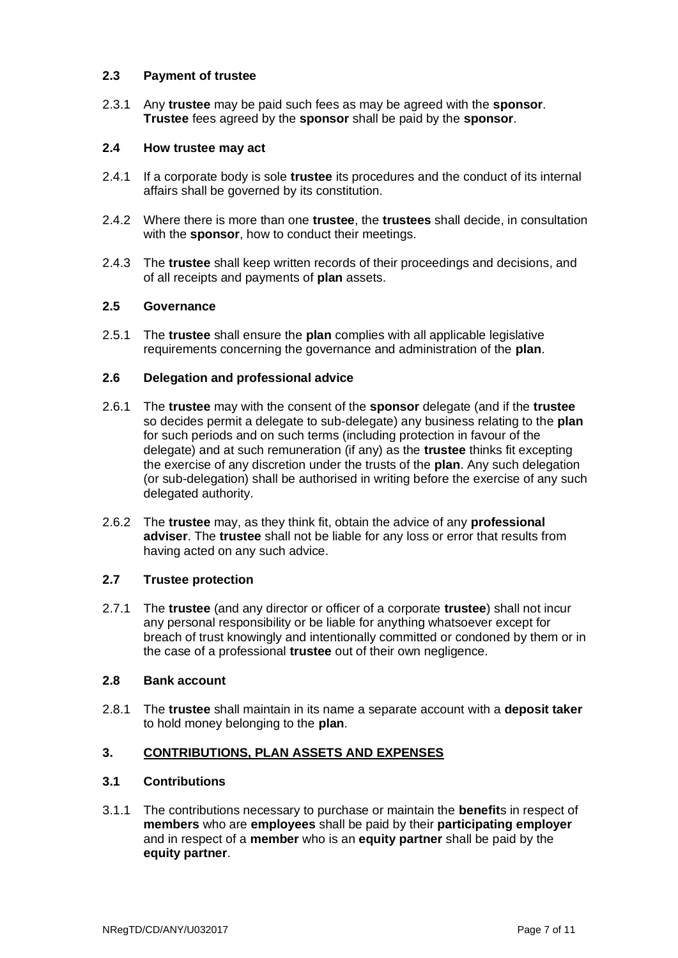#### **2.3 Payment of trustee**

2.3.1 Any **trustee** may be paid such fees as may be agreed with the **sponsor**. **Trustee** fees agreed by the **sponsor** shall be paid by the **sponsor**.

#### **2.4 How trustee may act**

- 2.4.1 If a corporate body is sole **trustee** its procedures and the conduct of its internal affairs shall be governed by its constitution.
- 2.4.2 Where there is more than one **trustee**, the **trustees** shall decide, in consultation with the **sponsor**, how to conduct their meetings.
- 2.4.3 The **trustee** shall keep written records of their proceedings and decisions, and of all receipts and payments of **plan** assets.

#### **2.5 Governance**

2.5.1 The **trustee** shall ensure the **plan** complies with all applicable legislative requirements concerning the governance and administration of the **plan**.

#### **2.6 Delegation and professional advice**

- 2.6.1 The **trustee** may with the consent of the **sponsor** delegate (and if the **trustee** so decides permit a delegate to sub-delegate) any business relating to the **plan** for such periods and on such terms (including protection in favour of the delegate) and at such remuneration (if any) as the **trustee** thinks fit excepting the exercise of any discretion under the trusts of the **plan**. Any such delegation (or sub-delegation) shall be authorised in writing before the exercise of any such delegated authority.
- 2.6.2 The **trustee** may, as they think fit, obtain the advice of any **professional adviser**. The **trustee** shall not be liable for any loss or error that results from having acted on any such advice.

### **2.7 Trustee protection**

2.7.1 The **trustee** (and any director or officer of a corporate **trustee**) shall not incur any personal responsibility or be liable for anything whatsoever except for breach of trust knowingly and intentionally committed or condoned by them or in the case of a professional **trustee** out of their own negligence.

#### **2.8 Bank account**

2.8.1 The **trustee** shall maintain in its name a separate account with a **deposit taker** to hold money belonging to the **plan**.

### **3. CONTRIBUTIONS, PLAN ASSETS AND EXPENSES**

### **3.1 Contributions**

3.1.1 The contributions necessary to purchase or maintain the **benefit**s in respect of **members** who are **employees** shall be paid by their **participating employer** and in respect of a **member** who is an **equity partner** shall be paid by the **equity partner**.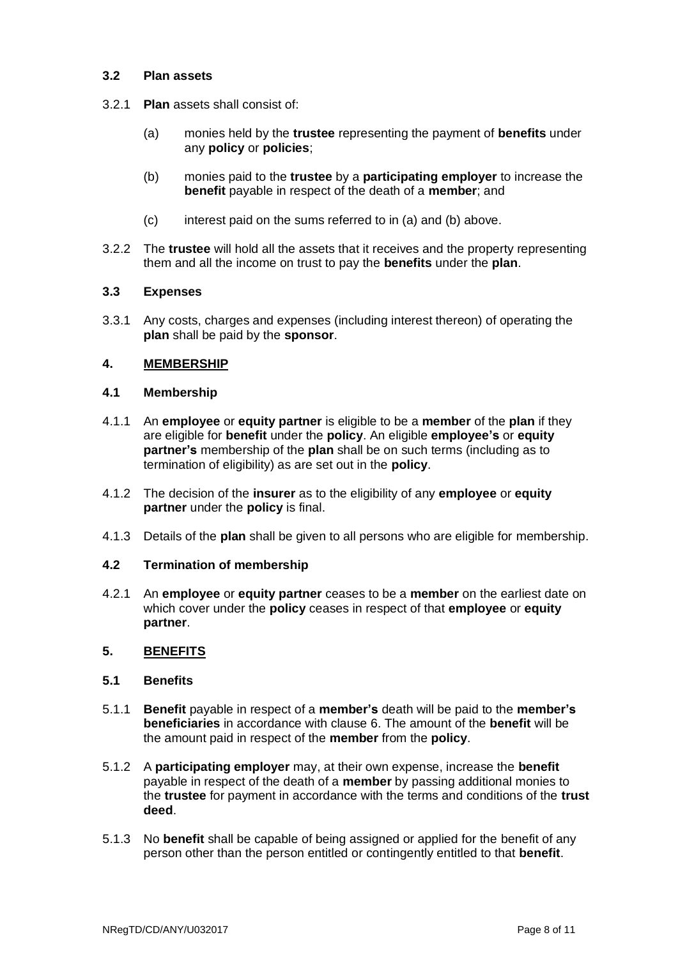#### **3.2 Plan assets**

- 3.2.1 **Plan** assets shall consist of:
	- (a) monies held by the **trustee** representing the payment of **benefits** under any **policy** or **policies**;
	- (b) monies paid to the **trustee** by a **participating employer** to increase the **benefit** payable in respect of the death of a **member**; and
	- (c) interest paid on the sums referred to in (a) and (b) above.
- 3.2.2 The **trustee** will hold all the assets that it receives and the property representing them and all the income on trust to pay the **benefits** under the **plan**.

#### **3.3 Expenses**

3.3.1 Any costs, charges and expenses (including interest thereon) of operating the **plan** shall be paid by the **sponsor**.

#### **4. MEMBERSHIP**

#### **4.1 Membership**

- 4.1.1 An **employee** or **equity partner** is eligible to be a **member** of the **plan** if they are eligible for **benefit** under the **policy**. An eligible **employee's** or **equity partner's** membership of the **plan** shall be on such terms (including as to termination of eligibility) as are set out in the **policy**.
- 4.1.2 The decision of the **insurer** as to the eligibility of any **employee** or **equity partner** under the **policy** is final.
- 4.1.3 Details of the **plan** shall be given to all persons who are eligible for membership.

#### **4.2 Termination of membership**

4.2.1 An **employee** or **equity partner** ceases to be a **member** on the earliest date on which cover under the **policy** ceases in respect of that **employee** or **equity partner**.

#### **5. BENEFITS**

#### **5.1 Benefits**

- 5.1.1 **Benefit** payable in respect of a **member's** death will be paid to the **member's beneficiaries** in accordance with clause 6. The amount of the **benefit** will be the amount paid in respect of the **member** from the **policy**.
- 5.1.2 A **participating employer** may, at their own expense, increase the **benefit** payable in respect of the death of a **member** by passing additional monies to the **trustee** for payment in accordance with the terms and conditions of the **trust deed**.
- 5.1.3 No **benefit** shall be capable of being assigned or applied for the benefit of any person other than the person entitled or contingently entitled to that **benefit**.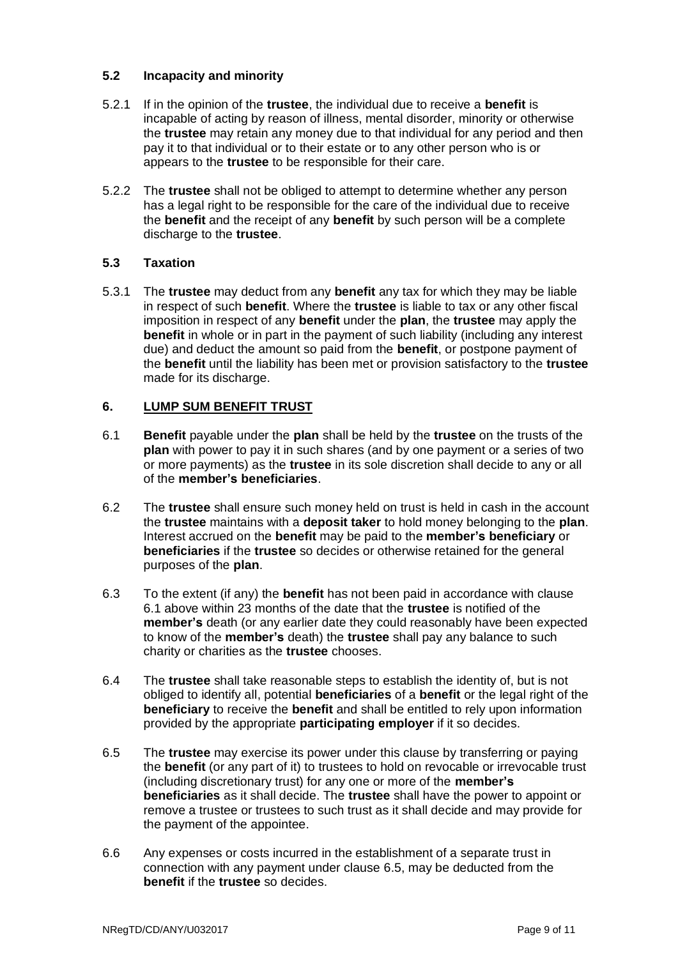### **5.2 Incapacity and minority**

- 5.2.1 If in the opinion of the **trustee**, the individual due to receive a **benefit** is incapable of acting by reason of illness, mental disorder, minority or otherwise the **trustee** may retain any money due to that individual for any period and then pay it to that individual or to their estate or to any other person who is or appears to the **trustee** to be responsible for their care.
- 5.2.2 The **trustee** shall not be obliged to attempt to determine whether any person has a legal right to be responsible for the care of the individual due to receive the **benefit** and the receipt of any **benefit** by such person will be a complete discharge to the **trustee**.

### **5.3 Taxation**

5.3.1 The **trustee** may deduct from any **benefit** any tax for which they may be liable in respect of such **benefit**. Where the **trustee** is liable to tax or any other fiscal imposition in respect of any **benefit** under the **plan**, the **trustee** may apply the **benefit** in whole or in part in the payment of such liability (including any interest due) and deduct the amount so paid from the **benefit**, or postpone payment of the **benefit** until the liability has been met or provision satisfactory to the **trustee** made for its discharge.

#### **6. LUMP SUM BENEFIT TRUST**

- 6.1 **Benefit** payable under the **plan** shall be held by the **trustee** on the trusts of the **plan** with power to pay it in such shares (and by one payment or a series of two or more payments) as the **trustee** in its sole discretion shall decide to any or all of the **member's beneficiaries**.
- 6.2 The **trustee** shall ensure such money held on trust is held in cash in the account the **trustee** maintains with a **deposit taker** to hold money belonging to the **plan**. Interest accrued on the **benefit** may be paid to the **member's beneficiary** or **beneficiaries** if the **trustee** so decides or otherwise retained for the general purposes of the **plan**.
- 6.3 To the extent (if any) the **benefit** has not been paid in accordance with clause 6.1 above within 23 months of the date that the **trustee** is notified of the **member's** death (or any earlier date they could reasonably have been expected to know of the **member's** death) the **trustee** shall pay any balance to such charity or charities as the **trustee** chooses.
- 6.4 The **trustee** shall take reasonable steps to establish the identity of, but is not obliged to identify all, potential **beneficiaries** of a **benefit** or the legal right of the **beneficiary** to receive the **benefit** and shall be entitled to rely upon information provided by the appropriate **participating employer** if it so decides.
- 6.5 The **trustee** may exercise its power under this clause by transferring or paying the **benefit** (or any part of it) to trustees to hold on revocable or irrevocable trust (including discretionary trust) for any one or more of the **member's beneficiaries** as it shall decide. The **trustee** shall have the power to appoint or remove a trustee or trustees to such trust as it shall decide and may provide for the payment of the appointee.
- 6.6 Any expenses or costs incurred in the establishment of a separate trust in connection with any payment under clause 6.5, may be deducted from the **benefit** if the **trustee** so decides.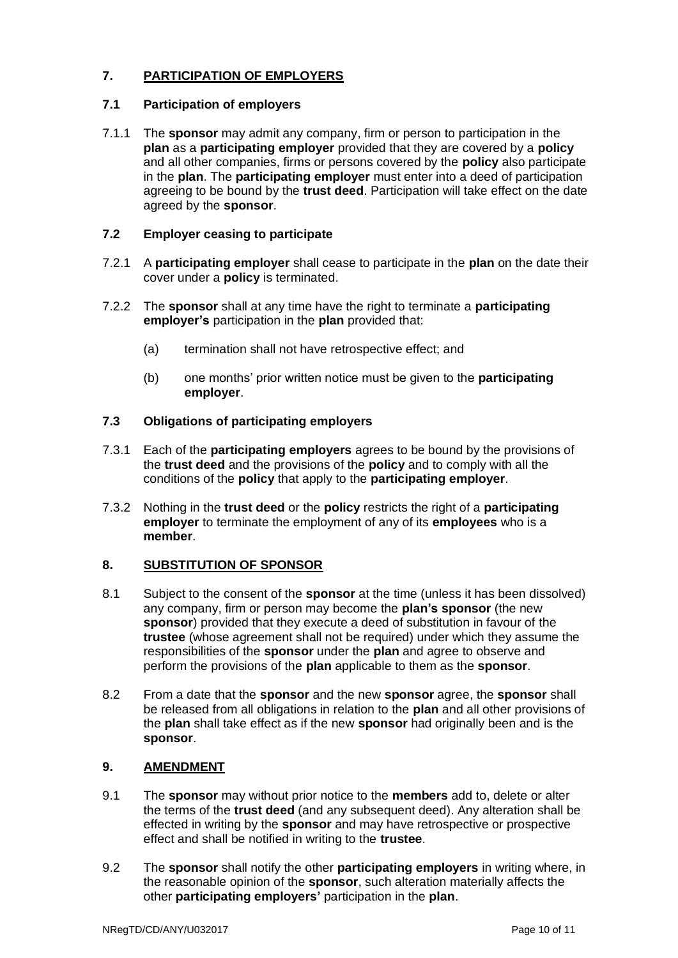### **7. PARTICIPATION OF EMPLOYERS**

### **7.1 Participation of employers**

7.1.1 The **sponsor** may admit any company, firm or person to participation in the **plan** as a **participating employer** provided that they are covered by a **policy** and all other companies, firms or persons covered by the **policy** also participate in the **plan**. The **participating employer** must enter into a deed of participation agreeing to be bound by the **trust deed**. Participation will take effect on the date agreed by the **sponsor**.

## **7.2 Employer ceasing to participate**

- 7.2.1 A **participating employer** shall cease to participate in the **plan** on the date their cover under a **policy** is terminated.
- 7.2.2 The **sponsor** shall at any time have the right to terminate a **participating employer's** participation in the **plan** provided that:
	- (a) termination shall not have retrospective effect; and
	- (b) one months' prior written notice must be given to the **participating employer**.

### **7.3 Obligations of participating employers**

- 7.3.1 Each of the **participating employers** agrees to be bound by the provisions of the **trust deed** and the provisions of the **policy** and to comply with all the conditions of the **policy** that apply to the **participating employer**.
- 7.3.2 Nothing in the **trust deed** or the **policy** restricts the right of a **participating employer** to terminate the employment of any of its **employees** who is a **member**.

## **8. SUBSTITUTION OF SPONSOR**

- 8.1 Subject to the consent of the **sponsor** at the time (unless it has been dissolved) any company, firm or person may become the **plan's sponsor** (the new **sponsor**) provided that they execute a deed of substitution in favour of the **trustee** (whose agreement shall not be required) under which they assume the responsibilities of the **sponsor** under the **plan** and agree to observe and perform the provisions of the **plan** applicable to them as the **sponsor**.
- 8.2 From a date that the **sponsor** and the new **sponsor** agree, the **sponsor** shall be released from all obligations in relation to the **plan** and all other provisions of the **plan** shall take effect as if the new **sponsor** had originally been and is the **sponsor**.

## **9. AMENDMENT**

- 9.1 The **sponsor** may without prior notice to the **members** add to, delete or alter the terms of the **trust deed** (and any subsequent deed). Any alteration shall be effected in writing by the **sponsor** and may have retrospective or prospective effect and shall be notified in writing to the **trustee**.
- 9.2 The **sponsor** shall notify the other **participating employers** in writing where, in the reasonable opinion of the **sponsor**, such alteration materially affects the other **participating employers'** participation in the **plan**.